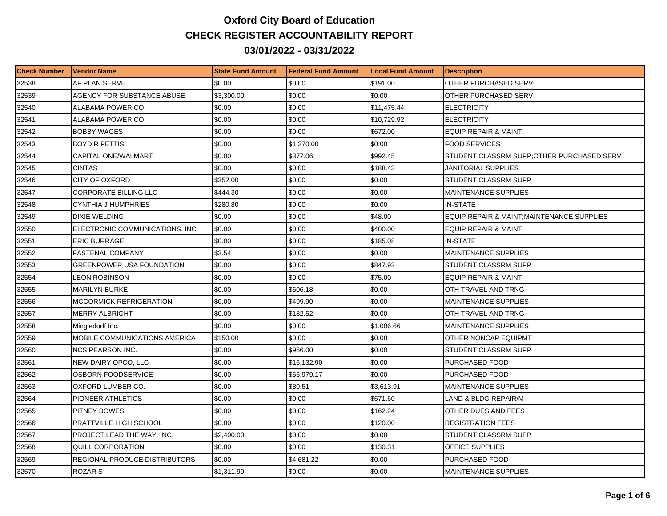## **Oxford City Board of Education CHECK REGISTER ACCOUNTABILITY REPORT 03/01/2022 - 03/31/2022**

| <b>Check Number</b> | l Vendor Name                    | <b>State Fund Amount</b> | l Federal Fund Amount | <b>Local Fund Amount</b> | <b>Description</b>                        |
|---------------------|----------------------------------|--------------------------|-----------------------|--------------------------|-------------------------------------------|
| 32538               | AF PLAN SERVE                    | \$0.00                   | \$0.00                | \$191.00                 | OTHER PURCHASED SERV                      |
| 32539               | AGENCY FOR SUBSTANCE ABUSE       | \$3,300.00               | \$0.00                | \$0.00                   | OTHER PURCHASED SERV                      |
| 32540               | ALABAMA POWER CO.                | \$0.00                   | \$0.00                | \$11,475.44              | <b>ELECTRICITY</b>                        |
| 32541               | ALABAMA POWER CO.                | \$0.00                   | \$0.00                | \$10,729.92              | <b>ELECTRICITY</b>                        |
| 32542               | <b>BOBBY WAGES</b>               | \$0.00                   | \$0.00                | \$672.00                 | <b>EQUIP REPAIR &amp; MAINT</b>           |
| 32543               | <b>BOYD R PETTIS</b>             | \$0.00                   | \$1,270.00            | \$0.00                   | <b>FOOD SERVICES</b>                      |
| 32544               | CAPITAL ONE/WALMART              | \$0.00                   | \$377.06              | \$992.45                 | STUDENT CLASSRM SUPP:OTHER PURCHASED SERV |
| 32545               | <b>CINTAS</b>                    | \$0.00                   | \$0.00                | \$188.43                 | JANITORIAL SUPPLIES                       |
| 32546               | <b>CITY OF OXFORD</b>            | \$352.00                 | \$0.00                | \$0.00                   | STUDENT CLASSRM SUPP                      |
| 32547               | <b>CORPORATE BILLING LLC</b>     | \$444.30                 | \$0.00                | \$0.00                   | <b>MAINTENANCE SUPPLIES</b>               |
| 32548               | CYNTHIA J HUMPHRIES              | \$280.80                 | \$0.00                | \$0.00                   | <b>IN-STATE</b>                           |
| 32549               | DIXIE WELDING                    | \$0.00                   | \$0.00                | \$48.00                  | EQUIP REPAIR & MAINT;MAINTENANCE SUPPLIES |
| 32550               | ELECTRONIC COMMUNICATIONS, INC   | \$0.00                   | \$0.00                | \$400.00                 | <b>EQUIP REPAIR &amp; MAINT</b>           |
| 32551               | <b>ERIC BURRAGE</b>              | \$0.00                   | \$0.00                | \$185.08                 | <b>IN-STATE</b>                           |
| 32552               | <b>FASTENAL COMPANY</b>          | \$3.54                   | \$0.00                | \$0.00                   | <b>MAINTENANCE SUPPLIES</b>               |
| 32553               | <b>GREENPOWER USA FOUNDATION</b> | \$0.00                   | \$0.00                | \$847.92                 | STUDENT CLASSRM SUPP                      |
| 32554               | LEON ROBINSON                    | \$0.00                   | \$0.00                | \$75.00                  | <b>EQUIP REPAIR &amp; MAINT</b>           |
| 32555               | <b>MARILYN BURKE</b>             | \$0.00                   | \$606.18              | \$0.00                   | OTH TRAVEL AND TRNG                       |
| 32556               | <b>MCCORMICK REFRIGERATION</b>   | \$0.00                   | \$499.90              | \$0.00                   | <b>MAINTENANCE SUPPLIES</b>               |
| 32557               | <b>MERRY ALBRIGHT</b>            | \$0.00                   | \$182.52              | \$0.00                   | OTH TRAVEL AND TRNG                       |
| 32558               | Mingledorff Inc.                 | \$0.00                   | \$0.00                | \$1,006.66               | MAINTENANCE SUPPLIES                      |
| 32559               | MOBILE COMMUNICATIONS AMERICA    | \$150.00                 | \$0.00                | \$0.00                   | OTHER NONCAP EQUIPMT                      |
| 32560               | <b>NCS PEARSON INC.</b>          | \$0.00                   | \$966.00              | \$0.00                   | STUDENT CLASSRM SUPP                      |
| 32561               | NEW DAIRY OPCO, LLC              | \$0.00                   | \$16,132.90           | \$0.00                   | PURCHASED FOOD                            |
| 32562               | <b>OSBORN FOODSERVICE</b>        | \$0.00                   | \$66,979.17           | \$0.00                   | PURCHASED FOOD                            |
| 32563               | OXFORD LUMBER CO.                | \$0.00                   | \$80.51               | \$3,613.91               | <b>MAINTENANCE SUPPLIES</b>               |
| 32564               | PIONEER ATHLETICS                | \$0.00                   | \$0.00                | \$671.60                 | LAND & BLDG REPAIR/M                      |
| 32565               | PITNEY BOWES                     | \$0.00                   | \$0.00                | \$162.24                 | OTHER DUES AND FEES                       |
| 32566               | PRATTVILLE HIGH SCHOOL           | \$0.00                   | \$0.00                | \$120.00                 | <b>REGISTRATION FEES</b>                  |
| 32567               | PROJECT LEAD THE WAY, INC.       | \$2,400.00               | \$0.00                | \$0.00                   | STUDENT CLASSRM SUPP                      |
| 32568               | QUILL CORPORATION                | \$0.00                   | \$0.00                | \$130.31                 | <b>OFFICE SUPPLIES</b>                    |
| 32569               | REGIONAL PRODUCE DISTRIBUTORS    | \$0.00                   | \$4,681.22            | \$0.00                   | PURCHASED FOOD                            |
| 32570               | ROZAR S                          | \$1,311.99               | \$0.00                | \$0.00                   | <b>MAINTENANCE SUPPLIES</b>               |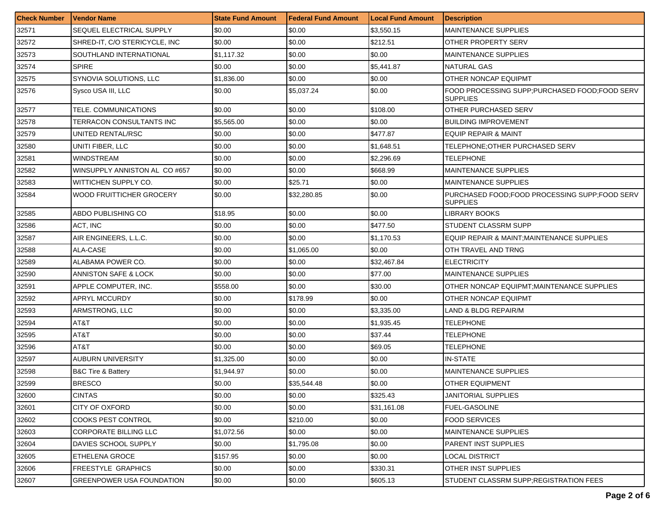| <b>Check Number</b> | <b>Vendor Name</b>                | <b>State Fund Amount</b> | Federal Fund Amount | <b>Local Fund Amount</b> | <b>Description</b>                                                 |
|---------------------|-----------------------------------|--------------------------|---------------------|--------------------------|--------------------------------------------------------------------|
| 32571               | SEQUEL ELECTRICAL SUPPLY          | \$0.00                   | \$0.00              | \$3,550.15               | <b>MAINTENANCE SUPPLIES</b>                                        |
| 32572               | SHRED-IT, C/O STERICYCLE, INC     | \$0.00                   | \$0.00              | \$212.51                 | OTHER PROPERTY SERV                                                |
| 32573               | SOUTHLAND INTERNATIONAL           | \$1,117.32               | \$0.00              | \$0.00                   | <b>MAINTENANCE SUPPLIES</b>                                        |
| 32574               | <b>SPIRE</b>                      | \$0.00                   | \$0.00              | \$5,441.87               | <b>NATURAL GAS</b>                                                 |
| 32575               | SYNOVIA SOLUTIONS, LLC            | \$1,836.00               | \$0.00              | \$0.00                   | OTHER NONCAP EQUIPMT                                               |
| 32576               | Sysco USA III, LLC                | \$0.00                   | \$5,037.24          | \$0.00                   | FOOD PROCESSING SUPP: PURCHASED FOOD: FOOD SERV<br><b>SUPPLIES</b> |
| 32577               | TELE. COMMUNICATIONS              | \$0.00                   | \$0.00              | \$108.00                 | OTHER PURCHASED SERV                                               |
| 32578               | TERRACON CONSULTANTS INC          | \$5,565.00               | \$0.00              | \$0.00                   | <b>BUILDING IMPROVEMENT</b>                                        |
| 32579               | UNITED RENTAL/RSC                 | \$0.00                   | \$0.00              | \$477.87                 | <b>EQUIP REPAIR &amp; MAINT</b>                                    |
| 32580               | UNITI FIBER, LLC                  | \$0.00                   | \$0.00              | \$1,648.51               | TELEPHONE:OTHER PURCHASED SERV                                     |
| 32581               | <b>WINDSTREAM</b>                 | \$0.00                   | \$0.00              | \$2,296.69               | TELEPHONE                                                          |
| 32582               | WINSUPPLY ANNISTON AL CO#657      | \$0.00                   | \$0.00              | \$668.99                 | <b>MAINTENANCE SUPPLIES</b>                                        |
| 32583               | WITTICHEN SUPPLY CO.              | \$0.00                   | \$25.71             | \$0.00                   | <b>MAINTENANCE SUPPLIES</b>                                        |
| 32584               | WOOD FRUITTICHER GROCERY          | \$0.00                   | \$32,280.85         | \$0.00                   | PURCHASED FOOD: FOOD PROCESSING SUPP: FOOD SERV<br><b>SUPPLIES</b> |
| 32585               | ABDO PUBLISHING CO                | \$18.95                  | \$0.00              | \$0.00                   | <b>LIBRARY BOOKS</b>                                               |
| 32586               | ACT, INC                          | \$0.00                   | \$0.00              | \$477.50                 | STUDENT CLASSRM SUPP                                               |
| 32587               | AIR ENGINEERS. L.L.C.             | \$0.00                   | \$0.00              | \$1,170.53               | EQUIP REPAIR & MAINT; MAINTENANCE SUPPLIES                         |
| 32588               | ALA-CASE                          | \$0.00                   | \$1,065.00          | \$0.00                   | OTH TRAVEL AND TRNG                                                |
| 32589               | ALABAMA POWER CO.                 | \$0.00                   | \$0.00              | \$32,467.84              | <b>ELECTRICITY</b>                                                 |
| 32590               | ANNISTON SAFE & LOCK              | \$0.00                   | \$0.00              | \$77.00                  | <b>MAINTENANCE SUPPLIES</b>                                        |
| 32591               | APPLE COMPUTER, INC.              | \$558.00                 | \$0.00              | \$30.00                  | OTHER NONCAP EQUIPMT; MAINTENANCE SUPPLIES                         |
| 32592               | APRYL MCCURDY                     | \$0.00                   | \$178.99            | \$0.00                   | <b>OTHER NONCAP EQUIPMT</b>                                        |
| 32593               | ARMSTRONG, LLC                    | \$0.00                   | \$0.00              | \$3,335.00               | LAND & BLDG REPAIR/M                                               |
| 32594               | AT8T                              | \$0.00                   | \$0.00              | \$1,935.45               | TELEPHONE                                                          |
| 32595               | AT&T                              | \$0.00                   | \$0.00              | \$37.44                  | <b>TELEPHONE</b>                                                   |
| 32596               | AT&T                              | \$0.00                   | \$0.00              | \$69.05                  | TELEPHONE                                                          |
| 32597               | <b>AUBURN UNIVERSITY</b>          | \$1,325.00               | \$0.00              | \$0.00                   | <b>IN-STATE</b>                                                    |
| 32598               | <b>B&amp;C Tire &amp; Battery</b> | \$1,944.97               | \$0.00              | \$0.00                   | <b>MAINTENANCE SUPPLIES</b>                                        |
| 32599               | <b>BRESCO</b>                     | \$0.00                   | \$35.544.48         | \$0.00                   | <b>OTHER EQUIPMENT</b>                                             |
| 32600               | <b>CINTAS</b>                     | \$0.00                   | \$0.00              | \$325.43                 | <b>JANITORIAL SUPPLIES</b>                                         |
| 32601               | CITY OF OXFORD                    | \$0.00                   | \$0.00              | \$31,161.08              | <b>FUEL-GASOLINE</b>                                               |
| 32602               | <b>COOKS PEST CONTROL</b>         | \$0.00                   | \$210.00            | \$0.00                   | <b>FOOD SERVICES</b>                                               |
| 32603               | CORPORATE BILLING LLC             | \$1,072.56               | \$0.00              | \$0.00                   | <b>MAINTENANCE SUPPLIES</b>                                        |
| 32604               | DAVIES SCHOOL SUPPLY              | \$0.00                   | \$1,795.08          | \$0.00                   | PARENT INST SUPPLIES                                               |
| 32605               | <b>ETHELENA GROCE</b>             | \$157.95                 | \$0.00              | \$0.00                   | <b>LOCAL DISTRICT</b>                                              |
| 32606               | FREESTYLE GRAPHICS                | \$0.00                   | \$0.00              | \$330.31                 | OTHER INST SUPPLIES                                                |
| 32607               | <b>GREENPOWER USA FOUNDATION</b>  | \$0.00                   | \$0.00              | \$605.13                 | STUDENT CLASSRM SUPP;REGISTRATION FEES                             |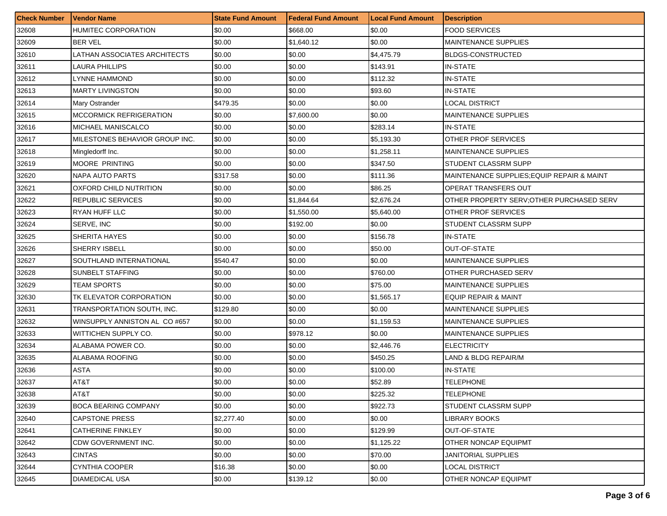| <b>Check Number</b> | <b>Vendor Name</b>             | <b>State Fund Amount</b> | <b>Federal Fund Amount</b> | <b>Local Fund Amount</b> | Description                                |
|---------------------|--------------------------------|--------------------------|----------------------------|--------------------------|--------------------------------------------|
| 32608               | HUMITEC CORPORATION            | \$0.00                   | \$668.00                   | \$0.00                   | <b>FOOD SERVICES</b>                       |
| 32609               | <b>BER VEL</b>                 | \$0.00                   | \$1,640.12                 | \$0.00                   | <b>MAINTENANCE SUPPLIES</b>                |
| 32610               | LATHAN ASSOCIATES ARCHITECTS   | \$0.00                   | \$0.00                     | \$4,475.79               | <b>BLDGS-CONSTRUCTED</b>                   |
| 32611               | <b>LAURA PHILLIPS</b>          | \$0.00                   | \$0.00                     | \$143.91                 | <b>IN-STATE</b>                            |
| 32612               | LYNNE HAMMOND                  | \$0.00                   | \$0.00                     | \$112.32                 | <b>IN-STATE</b>                            |
| 32613               | <b>MARTY LIVINGSTON</b>        | \$0.00                   | \$0.00                     | \$93.60                  | <b>IN-STATE</b>                            |
| 32614               | Mary Ostrander                 | \$479.35                 | \$0.00                     | \$0.00                   | <b>LOCAL DISTRICT</b>                      |
| 32615               | <b>MCCORMICK REFRIGERATION</b> | \$0.00                   | \$7,600.00                 | \$0.00                   | <b>MAINTENANCE SUPPLIES</b>                |
| 32616               | MICHAEL MANISCALCO             | \$0.00                   | \$0.00                     | \$283.14                 | <b>IN-STATE</b>                            |
| 32617               | MILESTONES BEHAVIOR GROUP INC. | \$0.00                   | \$0.00                     | \$5,193.30               | OTHER PROF SERVICES                        |
| 32618               | Mingledorff Inc.               | \$0.00                   | \$0.00                     | \$1,258.11               | <b>MAINTENANCE SUPPLIES</b>                |
| 32619               | <b>MOORE PRINTING</b>          | \$0.00                   | \$0.00                     | \$347.50                 | STUDENT CLASSRM SUPP                       |
| 32620               | <b>NAPA AUTO PARTS</b>         | \$317.58                 | \$0.00                     | \$111.36                 | MAINTENANCE SUPPLIES; EQUIP REPAIR & MAINT |
| 32621               | <b>OXFORD CHILD NUTRITION</b>  | \$0.00                   | \$0.00                     | \$86.25                  | OPERAT TRANSFERS OUT                       |
| 32622               | <b>REPUBLIC SERVICES</b>       | \$0.00                   | \$1,844.64                 | \$2,676.24               | OTHER PROPERTY SERV; OTHER PURCHASED SERV  |
| 32623               | RYAN HUFF LLC                  | \$0.00                   | \$1,550.00                 | \$5,640.00               | OTHER PROF SERVICES                        |
| 32624               | SERVE, INC                     | \$0.00                   | \$192.00                   | \$0.00                   | STUDENT CLASSRM SUPP                       |
| 32625               | SHERITA HAYES                  | \$0.00                   | \$0.00                     | \$156.78                 | <b>IN-STATE</b>                            |
| 32626               | SHERRY ISBELL                  | \$0.00                   | \$0.00                     | \$50.00                  | <b>OUT-OF-STATE</b>                        |
| 32627               | SOUTHLAND INTERNATIONAL        | \$540.47                 | \$0.00                     | \$0.00                   | <b>MAINTENANCE SUPPLIES</b>                |
| 32628               | SUNBELT STAFFING               | \$0.00                   | \$0.00                     | \$760.00                 | OTHER PURCHASED SERV                       |
| 32629               | TEAM SPORTS                    | \$0.00                   | \$0.00                     | \$75.00                  | <b>MAINTENANCE SUPPLIES</b>                |
| 32630               | TK ELEVATOR CORPORATION        | \$0.00                   | \$0.00                     | \$1,565.17               | <b>EQUIP REPAIR &amp; MAINT</b>            |
| 32631               | TRANSPORTATION SOUTH, INC.     | \$129.80                 | \$0.00                     | \$0.00                   | <b>MAINTENANCE SUPPLIES</b>                |
| 32632               | WINSUPPLY ANNISTON AL CO #657  | \$0.00                   | \$0.00                     | \$1,159.53               | <b>MAINTENANCE SUPPLIES</b>                |
| 32633               | WITTICHEN SUPPLY CO.           | \$0.00                   | \$978.12                   | \$0.00                   | <b>MAINTENANCE SUPPLIES</b>                |
| 32634               | ALABAMA POWER CO.              | \$0.00                   | \$0.00                     | \$2,446.76               | <b>ELECTRICITY</b>                         |
| 32635               | ALABAMA ROOFING                | \$0.00                   | \$0.00                     | \$450.25                 | LAND & BLDG REPAIR/M                       |
| 32636               | <b>ASTA</b>                    | \$0.00                   | \$0.00                     | \$100.00                 | <b>IN-STATE</b>                            |
| 32637               | AT8T                           | \$0.00                   | \$0.00                     | \$52.89                  | <b>TELEPHONE</b>                           |
| 32638               | AT&T                           | \$0.00                   | \$0.00                     | \$225.32                 | <b>TELEPHONE</b>                           |
| 32639               | <b>BOCA BEARING COMPANY</b>    | \$0.00                   | \$0.00                     | \$922.73                 | STUDENT CLASSRM SUPP                       |
| 32640               | <b>CAPSTONE PRESS</b>          | \$2,277.40               | \$0.00                     | \$0.00                   | <b>LIBRARY BOOKS</b>                       |
| 32641               | CATHERINE FINKLEY              | \$0.00                   | \$0.00                     | \$129.99                 | OUT-OF-STATE                               |
| 32642               | CDW GOVERNMENT INC.            | \$0.00                   | \$0.00                     | \$1,125.22               | OTHER NONCAP EQUIPMT                       |
| 32643               | <b>CINTAS</b>                  | \$0.00                   | \$0.00                     | \$70.00                  | JANITORIAL SUPPLIES                        |
| 32644               | <b>CYNTHIA COOPER</b>          | \$16.38                  | \$0.00                     | \$0.00                   | <b>LOCAL DISTRICT</b>                      |
| 32645               | <b>DIAMEDICAL USA</b>          | \$0.00                   | \$139.12                   | \$0.00                   | OTHER NONCAP EQUIPMT                       |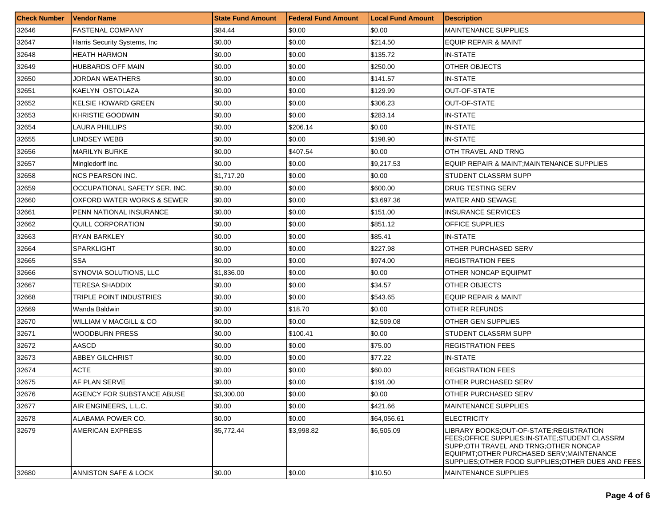| <b>Check Number</b> | <b>Vendor Name</b>            | <b>State Fund Amount</b> | l Federal Fund Amount | <b>Local Fund Amount</b> | <b>Description</b>                                                                                                                                                                                                                         |
|---------------------|-------------------------------|--------------------------|-----------------------|--------------------------|--------------------------------------------------------------------------------------------------------------------------------------------------------------------------------------------------------------------------------------------|
| 32646               | <b>FASTENAL COMPANY</b>       | \$84.44                  | \$0.00                | \$0.00                   | MAINTENANCE SUPPLIES                                                                                                                                                                                                                       |
| 32647               | Harris Security Systems, Inc  | \$0.00                   | \$0.00                | \$214.50                 | EQUIP REPAIR & MAINT                                                                                                                                                                                                                       |
| 32648               | <b>HEATH HARMON</b>           | \$0.00                   | \$0.00                | \$135.72                 | <b>IN-STATE</b>                                                                                                                                                                                                                            |
| 32649               | <b>HUBBARDS OFF MAIN</b>      | \$0.00                   | \$0.00                | \$250.00                 | OTHER OBJECTS                                                                                                                                                                                                                              |
| 32650               | JORDAN WEATHERS               | \$0.00                   | \$0.00                | \$141.57                 | IN-STATE                                                                                                                                                                                                                                   |
| 32651               | KAELYN OSTOLAZA               | \$0.00                   | \$0.00                | \$129.99                 | <b>OUT-OF-STATE</b>                                                                                                                                                                                                                        |
| 32652               | <b>KELSIE HOWARD GREEN</b>    | \$0.00                   | \$0.00                | \$306.23                 | OUT-OF-STATE                                                                                                                                                                                                                               |
| 32653               | KHRISTIE GOODWIN              | \$0.00                   | \$0.00                | \$283.14                 | IN-STATE                                                                                                                                                                                                                                   |
| 32654               | <b>LAURA PHILLIPS</b>         | \$0.00                   | \$206.14              | \$0.00                   | IN-STATE                                                                                                                                                                                                                                   |
| 32655               | LINDSEY WEBB                  | \$0.00                   | \$0.00                | \$198.90                 | IN-STATE                                                                                                                                                                                                                                   |
| 32656               | <b>MARILYN BURKE</b>          | \$0.00                   | \$407.54              | \$0.00                   | OTH TRAVEL AND TRNG                                                                                                                                                                                                                        |
| 32657               | Mingledorff Inc.              | \$0.00                   | \$0.00                | \$9,217.53               | EQUIP REPAIR & MAINT;MAINTENANCE SUPPLIES                                                                                                                                                                                                  |
| 32658               | <b>NCS PEARSON INC.</b>       | \$1,717.20               | \$0.00                | \$0.00                   | STUDENT CLASSRM SUPP                                                                                                                                                                                                                       |
| 32659               | OCCUPATIONAL SAFETY SER. INC. | \$0.00                   | \$0.00                | \$600.00                 | <b>DRUG TESTING SERV</b>                                                                                                                                                                                                                   |
| 32660               | OXFORD WATER WORKS & SEWER    | \$0.00                   | \$0.00                | \$3,697.36               | WATER AND SEWAGE                                                                                                                                                                                                                           |
| 32661               | PENN NATIONAL INSURANCE       | \$0.00                   | \$0.00                | \$151.00                 | INSURANCE SERVICES                                                                                                                                                                                                                         |
| 32662               | QUILL CORPORATION             | \$0.00                   | \$0.00                | \$851.12                 | OFFICE SUPPLIES                                                                                                                                                                                                                            |
| 32663               | <b>RYAN BARKLEY</b>           | \$0.00                   | \$0.00                | \$85.41                  | IN-STATE                                                                                                                                                                                                                                   |
| 32664               | <b>SPARKLIGHT</b>             | \$0.00                   | \$0.00                | \$227.98                 | OTHER PURCHASED SERV                                                                                                                                                                                                                       |
| 32665               | SSA                           | \$0.00                   | \$0.00                | \$974.00                 | <b>REGISTRATION FEES</b>                                                                                                                                                                                                                   |
| 32666               | SYNOVIA SOLUTIONS, LLC        | \$1,836.00               | \$0.00                | \$0.00                   | OTHER NONCAP EQUIPMT                                                                                                                                                                                                                       |
| 32667               | TERESA SHADDIX                | \$0.00                   | \$0.00                | \$34.57                  | OTHER OBJECTS                                                                                                                                                                                                                              |
| 32668               | TRIPLE POINT INDUSTRIES       | \$0.00                   | \$0.00                | \$543.65                 | EQUIP REPAIR & MAINT                                                                                                                                                                                                                       |
| 32669               | Wanda Baldwin                 | \$0.00                   | \$18.70               | \$0.00                   | OTHER REFUNDS                                                                                                                                                                                                                              |
| 32670               | WILLIAM V MACGILL & CO        | \$0.00                   | \$0.00                | \$2,509.08               | OTHER GEN SUPPLIES                                                                                                                                                                                                                         |
| 32671               | <b>WOODBURN PRESS</b>         | \$0.00                   | \$100.41              | \$0.00                   | STUDENT CLASSRM SUPP                                                                                                                                                                                                                       |
| 32672               | AASCD                         | \$0.00                   | \$0.00                | \$75.00                  | <b>REGISTRATION FEES</b>                                                                                                                                                                                                                   |
| 32673               | ABBEY GILCHRIST               | \$0.00                   | \$0.00                | \$77.22                  | <b>IN-STATE</b>                                                                                                                                                                                                                            |
| 32674               | ACTE                          | \$0.00                   | \$0.00                | \$60.00                  | <b>REGISTRATION FEES</b>                                                                                                                                                                                                                   |
| 32675               | AF PLAN SERVE                 | \$0.00                   | \$0.00                | \$191.00                 | OTHER PURCHASED SERV                                                                                                                                                                                                                       |
| 32676               | AGENCY FOR SUBSTANCE ABUSE    | \$3,300.00               | \$0.00                | \$0.00                   | OTHER PURCHASED SERV                                                                                                                                                                                                                       |
| 32677               | AIR ENGINEERS, L.L.C.         | \$0.00                   | \$0.00                | \$421.66                 | MAINTENANCE SUPPLIES                                                                                                                                                                                                                       |
| 32678               | ALABAMA POWER CO.             | \$0.00                   | \$0.00                | \$64,056.61              | <b>ELECTRICITY</b>                                                                                                                                                                                                                         |
| 32679               | AMERICAN EXPRESS              | \$5,772.44               | \$3,998.82            | \$6,505.09               | LIBRARY BOOKS:OUT-OF-STATE:REGISTRATION<br>FEES: OFFICE SUPPLIES: IN-STATE: STUDENT CLASSRM<br>SUPP: OTH TRAVEL AND TRNG: OTHER NONCAP<br>EQUIPMT; OTHER PURCHASED SERV; MAINTENANCE<br>SUPPLIES; OTHER FOOD SUPPLIES; OTHER DUES AND FEES |
| 32680               | ANNISTON SAFE & LOCK          | \$0.00                   | \$0.00                | \$10.50                  | <b>MAINTENANCE SUPPLIES</b>                                                                                                                                                                                                                |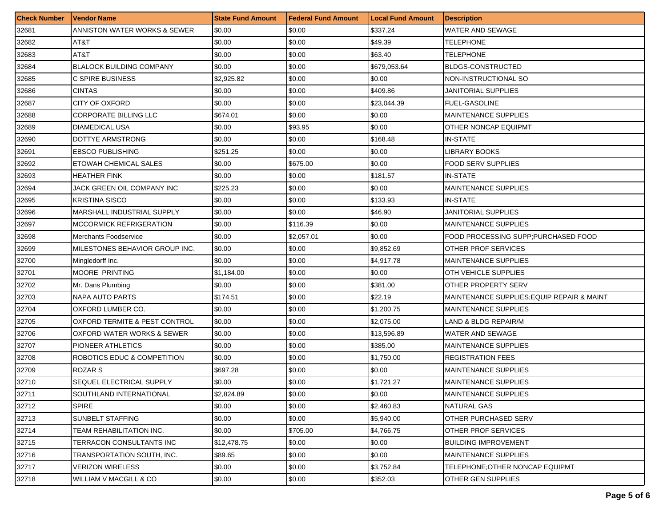| <b>Check Number</b> | <b>Vendor Name</b>              | <b>State Fund Amount</b> | <b>Federal Fund Amount</b> | <b>Local Fund Amount</b> | Description                                |
|---------------------|---------------------------------|--------------------------|----------------------------|--------------------------|--------------------------------------------|
| 32681               | ANNISTON WATER WORKS & SEWER    | \$0.00                   | \$0.00                     | \$337.24                 | WATER AND SEWAGE                           |
| 32682               | AT&T                            | \$0.00                   | \$0.00                     | \$49.39                  | TELEPHONE                                  |
| 32683               | AT&T                            | \$0.00                   | \$0.00                     | \$63.40                  | TELEPHONE                                  |
| 32684               | <b>BLALOCK BUILDING COMPANY</b> | \$0.00                   | \$0.00                     | \$679,053.64             | <b>BLDGS-CONSTRUCTED</b>                   |
| 32685               | C SPIRE BUSINESS                | \$2,925.82               | \$0.00                     | \$0.00                   | NON-INSTRUCTIONAL SO                       |
| 32686               | <b>CINTAS</b>                   | \$0.00                   | \$0.00                     | \$409.86                 | JANITORIAL SUPPLIES                        |
| 32687               | <b>CITY OF OXFORD</b>           | \$0.00                   | \$0.00                     | \$23,044.39              | <b>FUEL-GASOLINE</b>                       |
| 32688               | CORPORATE BILLING LLC           | \$674.01                 | \$0.00                     | \$0.00                   | <b>MAINTENANCE SUPPLIES</b>                |
| 32689               | <b>DIAMEDICAL USA</b>           | \$0.00                   | \$93.95                    | \$0.00                   | OTHER NONCAP EQUIPMT                       |
| 32690               | DOTTYE ARMSTRONG                | \$0.00                   | \$0.00                     | \$168.48                 | <b>IN-STATE</b>                            |
| 32691               | <b>EBSCO PUBLISHING</b>         | \$251.25                 | \$0.00                     | \$0.00                   | <b>LIBRARY BOOKS</b>                       |
| 32692               | ETOWAH CHEMICAL SALES           | \$0.00                   | \$675.00                   | \$0.00                   | <b>FOOD SERV SUPPLIES</b>                  |
| 32693               | <b>HEATHER FINK</b>             | \$0.00                   | \$0.00                     | \$181.57                 | <b>IN-STATE</b>                            |
| 32694               | JACK GREEN OIL COMPANY INC      | \$225.23                 | \$0.00                     | \$0.00                   | <b>MAINTENANCE SUPPLIES</b>                |
| 32695               | <b>KRISTINA SISCO</b>           | \$0.00                   | \$0.00                     | \$133.93                 | <b>IN-STATE</b>                            |
| 32696               | MARSHALL INDUSTRIAL SUPPLY      | \$0.00                   | \$0.00                     | \$46.90                  | JANITORIAL SUPPLIES                        |
| 32697               | <b>MCCORMICK REFRIGERATION</b>  | \$0.00                   | \$116.39                   | \$0.00                   | <b>MAINTENANCE SUPPLIES</b>                |
| 32698               | <b>Merchants Foodservice</b>    | \$0.00                   | \$2,057.01                 | \$0.00                   | FOOD PROCESSING SUPP; PURCHASED FOOD       |
| 32699               | MILESTONES BEHAVIOR GROUP INC.  | \$0.00                   | \$0.00                     | \$9,852.69               | OTHER PROF SERVICES                        |
| 32700               | Mingledorff Inc.                | \$0.00                   | \$0.00                     | \$4,917.78               | <b>MAINTENANCE SUPPLIES</b>                |
| 32701               | <b>MOORE PRINTING</b>           | \$1,184.00               | \$0.00                     | \$0.00                   | OTH VEHICLE SUPPLIES                       |
| 32702               | Mr. Dans Plumbing               | \$0.00                   | \$0.00                     | \$381.00                 | OTHER PROPERTY SERV                        |
| 32703               | NAPA AUTO PARTS                 | \$174.51                 | \$0.00                     | \$22.19                  | MAINTENANCE SUPPLIES; EQUIP REPAIR & MAINT |
| 32704               | OXFORD LUMBER CO.               | \$0.00                   | \$0.00                     | \$1,200.75               | <b>MAINTENANCE SUPPLIES</b>                |
| 32705               | OXFORD TERMITE & PEST CONTROL   | \$0.00                   | \$0.00                     | \$2,075.00               | LAND & BLDG REPAIR/M                       |
| 32706               | OXFORD WATER WORKS & SEWER      | \$0.00                   | \$0.00                     | \$13,596.89              | WATER AND SEWAGE                           |
| 32707               | PIONEER ATHLETICS               | \$0.00                   | \$0.00                     | \$385.00                 | <b>MAINTENANCE SUPPLIES</b>                |
| 32708               | ROBOTICS EDUC & COMPETITION     | \$0.00                   | \$0.00                     | \$1,750.00               | <b>REGISTRATION FEES</b>                   |
| 32709               | ROZAR S                         | \$697.28                 | \$0.00                     | \$0.00                   | <b>MAINTENANCE SUPPLIES</b>                |
| 32710               | SEQUEL ELECTRICAL SUPPLY        | \$0.00                   | \$0.00                     | \$1,721.27               | <b>MAINTENANCE SUPPLIES</b>                |
| 32711               | <b>SOUTHLAND INTERNATIONAL</b>  | \$2,824.89               | \$0.00                     | \$0.00                   | <b>IMAINTENANCE SUPPLIES</b>               |
| 32712               | <b>SPIRE</b>                    | \$0.00                   | \$0.00                     | \$2,460.83               | <b>NATURAL GAS</b>                         |
| 32713               | SUNBELT STAFFING                | \$0.00                   | \$0.00                     | \$5,940.00               | OTHER PURCHASED SERV                       |
| 32714               | TEAM REHABILITATION INC.        | \$0.00                   | \$705.00                   | \$4.766.75               | OTHER PROF SERVICES                        |
| 32715               | TERRACON CONSULTANTS INC        | \$12,478.75              | \$0.00                     | \$0.00                   | <b>BUILDING IMPROVEMENT</b>                |
| 32716               | TRANSPORTATION SOUTH, INC.      | \$89.65                  | \$0.00                     | \$0.00                   | <b>MAINTENANCE SUPPLIES</b>                |
| 32717               | VERIZON WIRELESS                | \$0.00                   | \$0.00                     | \$3,752.84               | TELEPHONE; OTHER NONCAP EQUIPMT            |
| 32718               | WILLIAM V MACGILL & CO          | \$0.00                   | \$0.00                     | \$352.03                 | <b>OTHER GEN SUPPLIES</b>                  |